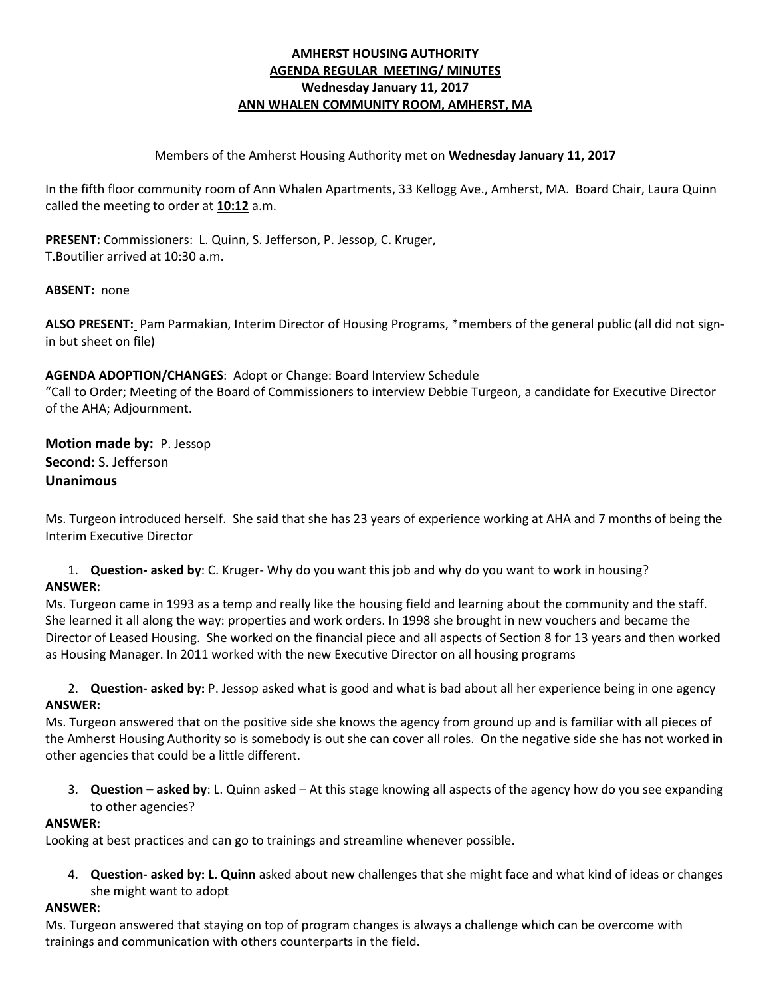## **AMHERST HOUSING AUTHORITY AGENDA REGULAR MEETING/ MINUTES Wednesday January 11, 2017 ANN WHALEN COMMUNITY ROOM, AMHERST, MA**

#### Members of the Amherst Housing Authority met on **Wednesday January 11, 2017**

In the fifth floor community room of Ann Whalen Apartments, 33 Kellogg Ave., Amherst, MA. Board Chair, Laura Quinn called the meeting to order at **10:12** a.m.

**PRESENT:** Commissioners: L. Quinn, S. Jefferson, P. Jessop, C. Kruger, T.Boutilier arrived at 10:30 a.m.

### **ABSENT:** none

**ALSO PRESENT:** Pam Parmakian, Interim Director of Housing Programs, \*members of the general public (all did not signin but sheet on file)

### **AGENDA ADOPTION/CHANGES**: Adopt or Change: Board Interview Schedule

"Call to Order; Meeting of the Board of Commissioners to interview Debbie Turgeon, a candidate for Executive Director of the AHA; Adjournment.

**Motion made by:** P. Jessop **Second:** S. Jefferson **Unanimous**

Ms. Turgeon introduced herself. She said that she has 23 years of experience working at AHA and 7 months of being the Interim Executive Director

1. **Question- asked by**: C. Kruger- Why do you want this job and why do you want to work in housing? **ANSWER:** 

Ms. Turgeon came in 1993 as a temp and really like the housing field and learning about the community and the staff. She learned it all along the way: properties and work orders. In 1998 she brought in new vouchers and became the Director of Leased Housing. She worked on the financial piece and all aspects of Section 8 for 13 years and then worked as Housing Manager. In 2011 worked with the new Executive Director on all housing programs

2. **Question- asked by:** P. Jessop asked what is good and what is bad about all her experience being in one agency **ANSWER:**

Ms. Turgeon answered that on the positive side she knows the agency from ground up and is familiar with all pieces of the Amherst Housing Authority so is somebody is out she can cover all roles. On the negative side she has not worked in other agencies that could be a little different.

3. **Question – asked by**: L. Quinn asked – At this stage knowing all aspects of the agency how do you see expanding to other agencies?

#### **ANSWER:**

Looking at best practices and can go to trainings and streamline whenever possible.

4. **Question- asked by: L. Quinn** asked about new challenges that she might face and what kind of ideas or changes she might want to adopt

#### **ANSWER:**

Ms. Turgeon answered that staying on top of program changes is always a challenge which can be overcome with trainings and communication with others counterparts in the field.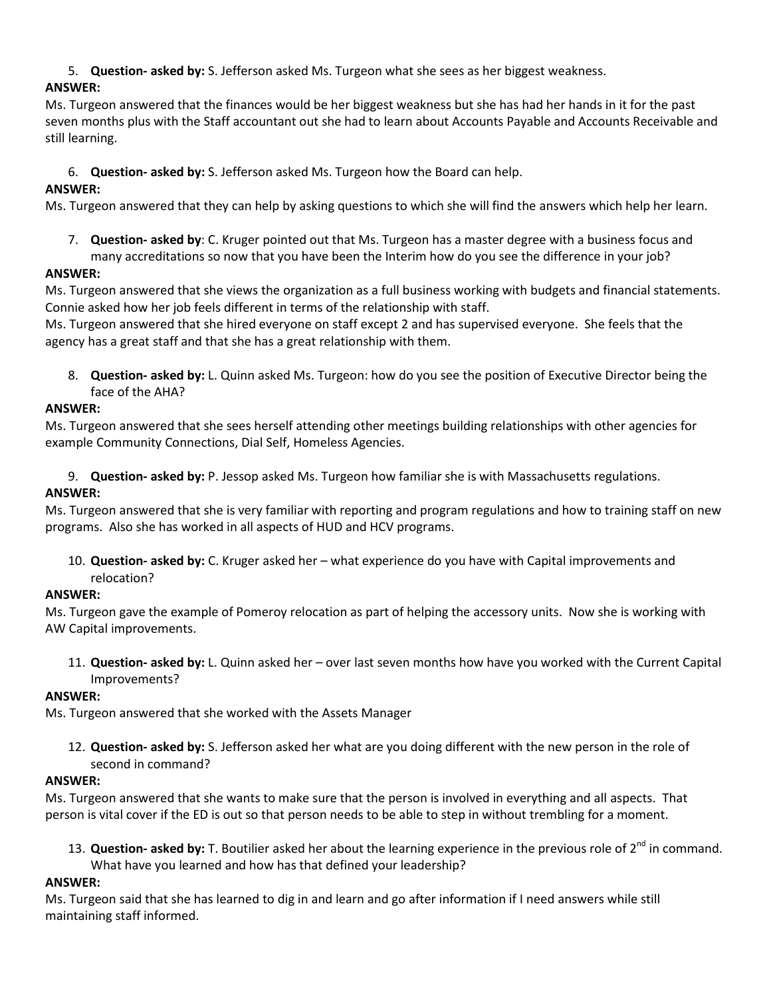5. **Question- asked by:** S. Jefferson asked Ms. Turgeon what she sees as her biggest weakness.

# **ANSWER:**

Ms. Turgeon answered that the finances would be her biggest weakness but she has had her hands in it for the past seven months plus with the Staff accountant out she had to learn about Accounts Payable and Accounts Receivable and still learning.

6. **Question- asked by:** S. Jefferson asked Ms. Turgeon how the Board can help.

# **ANSWER:**

Ms. Turgeon answered that they can help by asking questions to which she will find the answers which help her learn.

7. **Question- asked by**: C. Kruger pointed out that Ms. Turgeon has a master degree with a business focus and many accreditations so now that you have been the Interim how do you see the difference in your job?

# **ANSWER:**

Ms. Turgeon answered that she views the organization as a full business working with budgets and financial statements. Connie asked how her job feels different in terms of the relationship with staff.

Ms. Turgeon answered that she hired everyone on staff except 2 and has supervised everyone. She feels that the agency has a great staff and that she has a great relationship with them.

8. **Question- asked by:** L. Quinn asked Ms. Turgeon: how do you see the position of Executive Director being the face of the AHA?

# **ANSWER:**

Ms. Turgeon answered that she sees herself attending other meetings building relationships with other agencies for example Community Connections, Dial Self, Homeless Agencies.

9. **Question- asked by:** P. Jessop asked Ms. Turgeon how familiar she is with Massachusetts regulations.

# **ANSWER:**

Ms. Turgeon answered that she is very familiar with reporting and program regulations and how to training staff on new programs. Also she has worked in all aspects of HUD and HCV programs.

10. **Question- asked by:** C. Kruger asked her – what experience do you have with Capital improvements and relocation?

# **ANSWER:**

Ms. Turgeon gave the example of Pomeroy relocation as part of helping the accessory units. Now she is working with AW Capital improvements.

11. **Question- asked by:** L. Quinn asked her – over last seven months how have you worked with the Current Capital Improvements?

# **ANSWER:**

Ms. Turgeon answered that she worked with the Assets Manager

12. **Question- asked by:** S. Jefferson asked her what are you doing different with the new person in the role of second in command?

# **ANSWER:**

Ms. Turgeon answered that she wants to make sure that the person is involved in everything and all aspects. That person is vital cover if the ED is out so that person needs to be able to step in without trembling for a moment.

13. **Question- asked by:** T. Boutilier asked her about the learning experience in the previous role of 2<sup>nd</sup> in command. What have you learned and how has that defined your leadership?

# **ANSWER:**

Ms. Turgeon said that she has learned to dig in and learn and go after information if I need answers while still maintaining staff informed.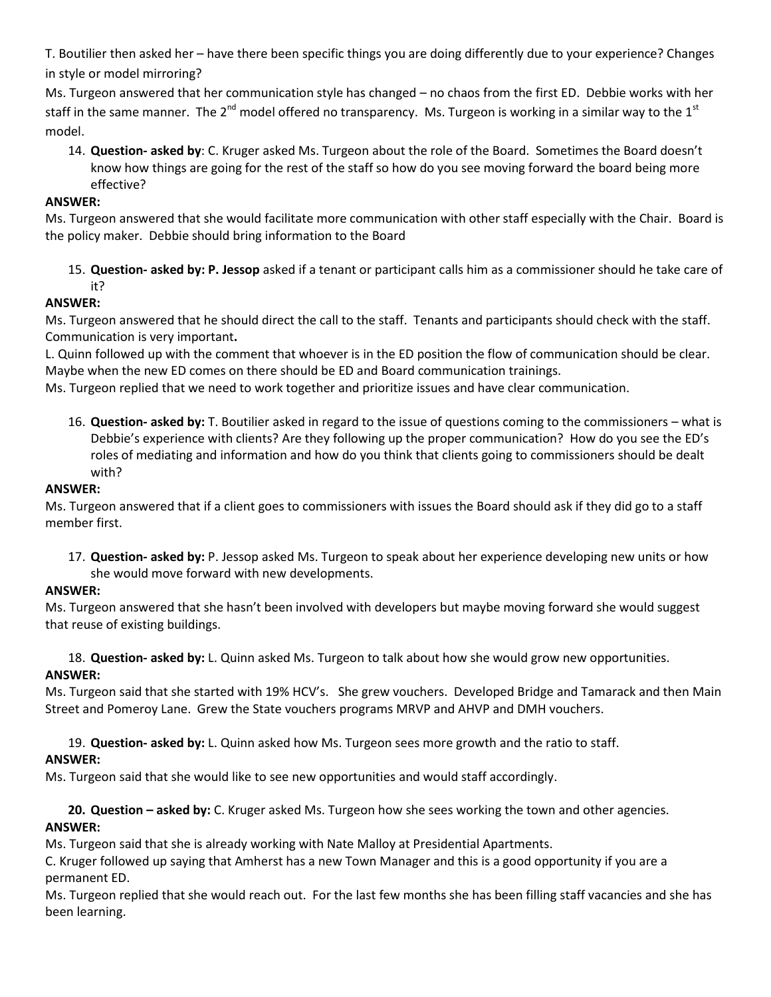T. Boutilier then asked her – have there been specific things you are doing differently due to your experience? Changes in style or model mirroring?

Ms. Turgeon answered that her communication style has changed – no chaos from the first ED. Debbie works with her staff in the same manner. The 2<sup>nd</sup> model offered no transparency. Ms. Turgeon is working in a similar way to the 1<sup>st</sup> model.

14. **Question- asked by**: C. Kruger asked Ms. Turgeon about the role of the Board. Sometimes the Board doesn't know how things are going for the rest of the staff so how do you see moving forward the board being more effective?

## **ANSWER:**

Ms. Turgeon answered that she would facilitate more communication with other staff especially with the Chair. Board is the policy maker. Debbie should bring information to the Board

15. **Question- asked by: P. Jessop** asked if a tenant or participant calls him as a commissioner should he take care of it?

## **ANSWER:**

Ms. Turgeon answered that he should direct the call to the staff. Tenants and participants should check with the staff. Communication is very important**.**

L. Quinn followed up with the comment that whoever is in the ED position the flow of communication should be clear. Maybe when the new ED comes on there should be ED and Board communication trainings.

Ms. Turgeon replied that we need to work together and prioritize issues and have clear communication.

16. **Question- asked by:** T. Boutilier asked in regard to the issue of questions coming to the commissioners – what is Debbie's experience with clients? Are they following up the proper communication? How do you see the ED's roles of mediating and information and how do you think that clients going to commissioners should be dealt with?

#### **ANSWER:**

Ms. Turgeon answered that if a client goes to commissioners with issues the Board should ask if they did go to a staff member first.

17. **Question- asked by:** P. Jessop asked Ms. Turgeon to speak about her experience developing new units or how she would move forward with new developments.

## **ANSWER:**

Ms. Turgeon answered that she hasn't been involved with developers but maybe moving forward she would suggest that reuse of existing buildings.

18. **Question- asked by:** L. Quinn asked Ms. Turgeon to talk about how she would grow new opportunities.

## **ANSWER:**

Ms. Turgeon said that she started with 19% HCV's. She grew vouchers. Developed Bridge and Tamarack and then Main Street and Pomeroy Lane. Grew the State vouchers programs MRVP and AHVP and DMH vouchers.

19. **Question- asked by:** L. Quinn asked how Ms. Turgeon sees more growth and the ratio to staff.

## **ANSWER:**

Ms. Turgeon said that she would like to see new opportunities and would staff accordingly.

**20. Question – asked by:** C. Kruger asked Ms. Turgeon how she sees working the town and other agencies. **ANSWER:**

Ms. Turgeon said that she is already working with Nate Malloy at Presidential Apartments.

C. Kruger followed up saying that Amherst has a new Town Manager and this is a good opportunity if you are a permanent ED.

Ms. Turgeon replied that she would reach out. For the last few months she has been filling staff vacancies and she has been learning.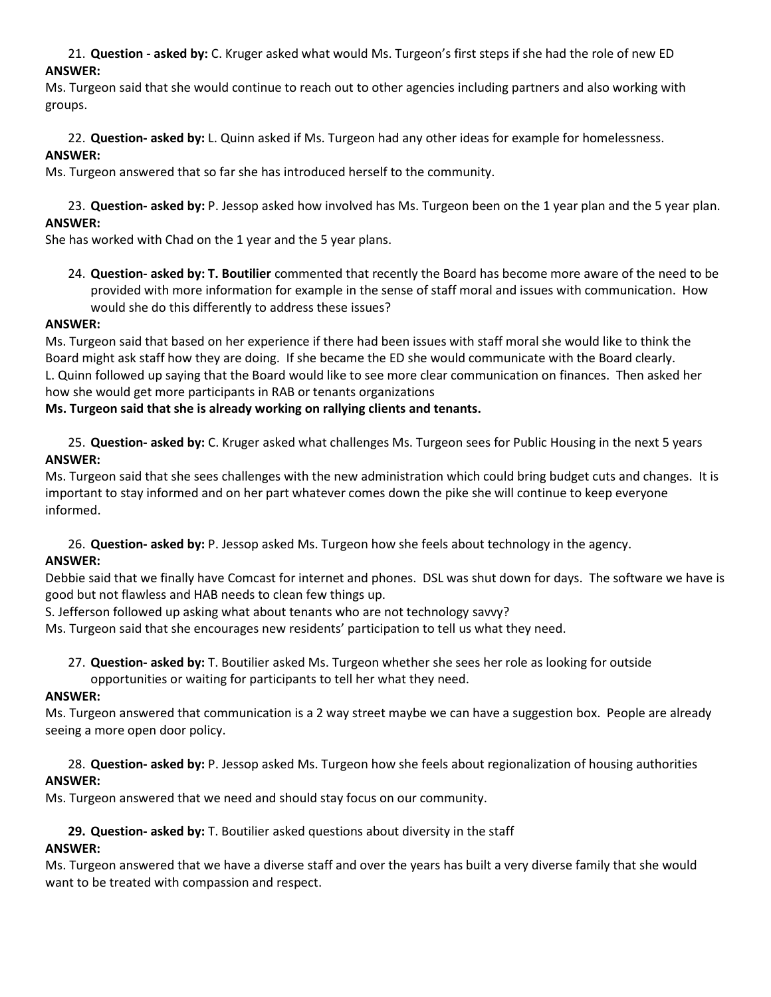21. **Question - asked by:** C. Kruger asked what would Ms. Turgeon's first steps if she had the role of new ED **ANSWER:**

Ms. Turgeon said that she would continue to reach out to other agencies including partners and also working with groups.

## 22. **Question- asked by:** L. Quinn asked if Ms. Turgeon had any other ideas for example for homelessness. **ANSWER:**

Ms. Turgeon answered that so far she has introduced herself to the community.

#### 23. **Question- asked by:** P. Jessop asked how involved has Ms. Turgeon been on the 1 year plan and the 5 year plan. **ANSWER:**

She has worked with Chad on the 1 year and the 5 year plans.

24. **Question- asked by: T. Boutilier** commented that recently the Board has become more aware of the need to be provided with more information for example in the sense of staff moral and issues with communication. How would she do this differently to address these issues?

### **ANSWER:**

Ms. Turgeon said that based on her experience if there had been issues with staff moral she would like to think the Board might ask staff how they are doing. If she became the ED she would communicate with the Board clearly. L. Quinn followed up saying that the Board would like to see more clear communication on finances. Then asked her how she would get more participants in RAB or tenants organizations

### **Ms. Turgeon said that she is already working on rallying clients and tenants.**

25. **Question- asked by:** C. Kruger asked what challenges Ms. Turgeon sees for Public Housing in the next 5 years **ANSWER:**

Ms. Turgeon said that she sees challenges with the new administration which could bring budget cuts and changes. It is important to stay informed and on her part whatever comes down the pike she will continue to keep everyone informed.

26. **Question- asked by:** P. Jessop asked Ms. Turgeon how she feels about technology in the agency.

## **ANSWER:**

Debbie said that we finally have Comcast for internet and phones. DSL was shut down for days. The software we have is good but not flawless and HAB needs to clean few things up.

S. Jefferson followed up asking what about tenants who are not technology savvy?

Ms. Turgeon said that she encourages new residents' participation to tell us what they need.

- 27. **Question- asked by:** T. Boutilier asked Ms. Turgeon whether she sees her role as looking for outside
- opportunities or waiting for participants to tell her what they need.

#### **ANSWER:**

Ms. Turgeon answered that communication is a 2 way street maybe we can have a suggestion box. People are already seeing a more open door policy.

### 28. **Question- asked by:** P. Jessop asked Ms. Turgeon how she feels about regionalization of housing authorities **ANSWER:**

Ms. Turgeon answered that we need and should stay focus on our community.

## **29. Question- asked by:** T. Boutilier asked questions about diversity in the staff

## **ANSWER:**

Ms. Turgeon answered that we have a diverse staff and over the years has built a very diverse family that she would want to be treated with compassion and respect.